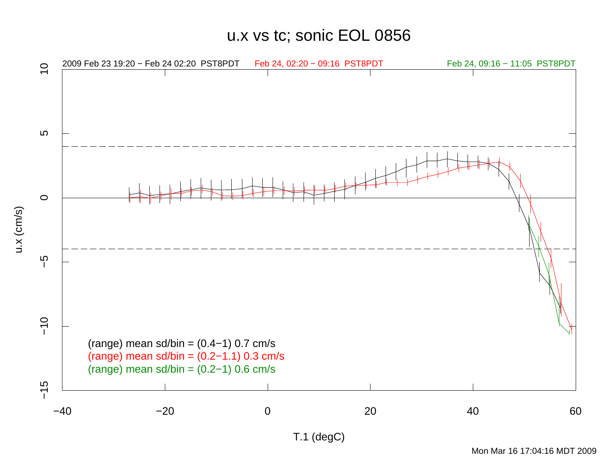u.x vs tc; sonic EOL 0856

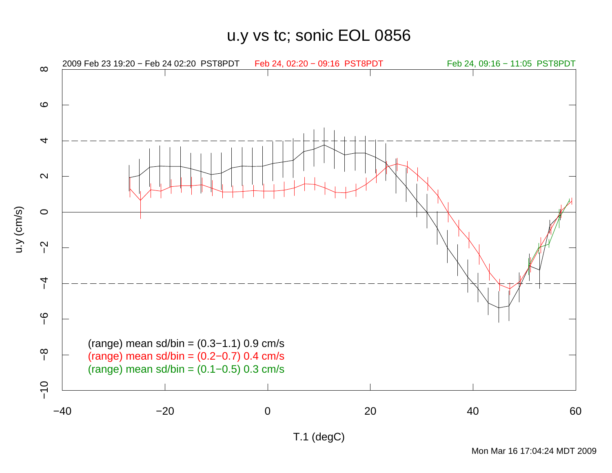u.y vs tc; sonic EOL 0856